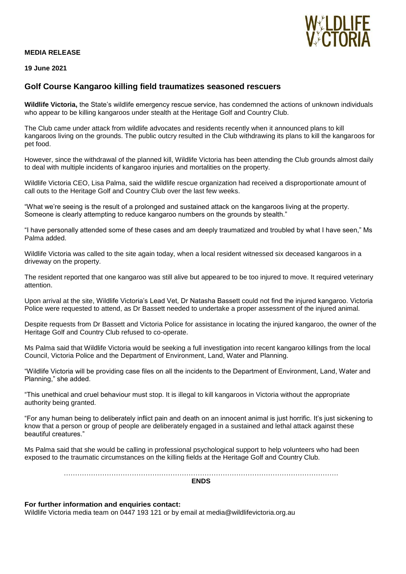## **MEDIA RELEASE**



**19 June 2021**

## **Golf Course Kangaroo killing field traumatizes seasoned rescuers**

**Wildlife Victoria,** the State's wildlife emergency rescue service, has condemned the actions of unknown individuals who appear to be killing kangaroos under stealth at the Heritage Golf and Country Club.

The Club came under attack from wildlife advocates and residents recently when it announced plans to kill kangaroos living on the grounds. The public outcry resulted in the Club withdrawing its plans to kill the kangaroos for pet food.

However, since the withdrawal of the planned kill, Wildlife Victoria has been attending the Club grounds almost daily to deal with multiple incidents of kangaroo injuries and mortalities on the property.

Wildlife Victoria CEO, Lisa Palma, said the wildlife rescue organization had received a disproportionate amount of call outs to the Heritage Golf and Country Club over the last few weeks.

"What we're seeing is the result of a prolonged and sustained attack on the kangaroos living at the property. Someone is clearly attempting to reduce kangaroo numbers on the grounds by stealth."

"I have personally attended some of these cases and am deeply traumatized and troubled by what I have seen," Ms Palma added.

Wildlife Victoria was called to the site again today, when a local resident witnessed six deceased kangaroos in a driveway on the property.

The resident reported that one kangaroo was still alive but appeared to be too injured to move. It required veterinary attention.

Upon arrival at the site, Wildlife Victoria's Lead Vet, Dr Natasha Bassett could not find the injured kangaroo. Victoria Police were requested to attend, as Dr Bassett needed to undertake a proper assessment of the injured animal.

Despite requests from Dr Bassett and Victoria Police for assistance in locating the injured kangaroo, the owner of the Heritage Golf and Country Club refused to co-operate.

Ms Palma said that Wildlife Victoria would be seeking a full investigation into recent kangaroo killings from the local Council, Victoria Police and the Department of Environment, Land, Water and Planning.

"Wildlife Victoria will be providing case files on all the incidents to the Department of Environment, Land, Water and Planning," she added.

"This unethical and cruel behaviour must stop. It is illegal to kill kangaroos in Victoria without the appropriate authority being granted.

"For any human being to deliberately inflict pain and death on an innocent animal is just horrific. It's just sickening to know that a person or group of people are deliberately engaged in a sustained and lethal attack against these beautiful creatures."

Ms Palma said that she would be calling in professional psychological support to help volunteers who had been exposed to the traumatic circumstances on the killing fields at the Heritage Golf and Country Club.

> …………………………………………………………………………………………………………. **ENDS**

**For further information and enquiries contact:**

Wildlife Victoria media team on 0447 193 121 or by email at media@wildlifevictoria.org.au